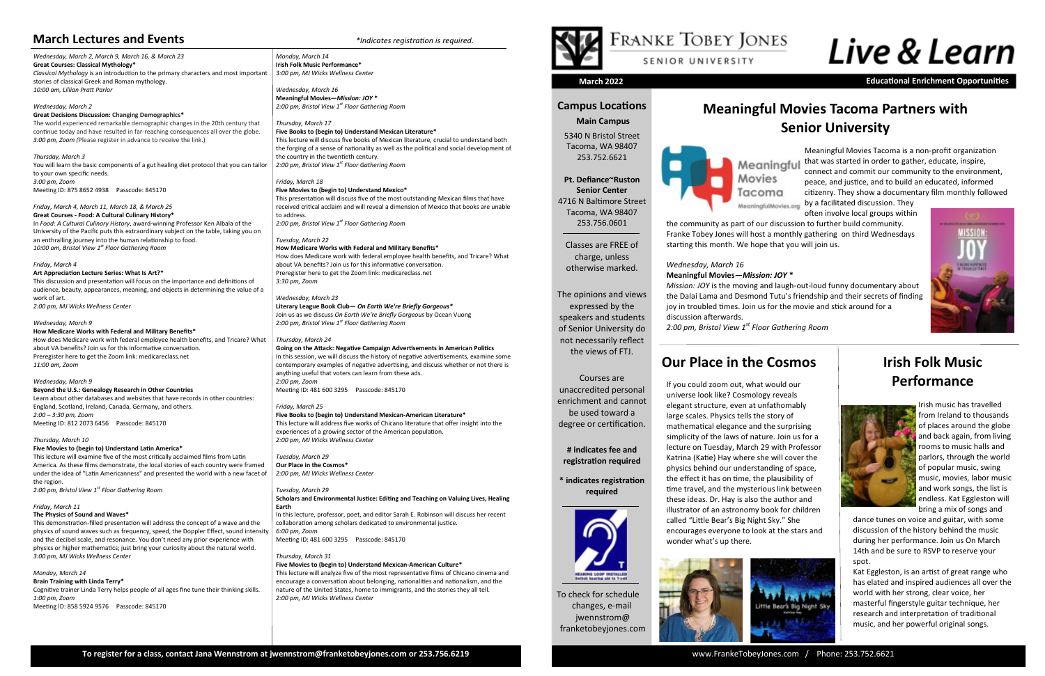To check for schedule changes, e-mail

jwennstrom@ franketobeyjones.com

# **Campus Locations**

 **Main Campus**

5340 N Bristol Street Tacoma, WA 98407 253.752.6621

**Pt. Defiance~Ruston Senior Center** 4716 N Baltimore Street Tacoma, WA 98407

253.756.0601

Classes are FREE of

charge, unless otherwise marked.

The opinions and views expressed by the speakers and students of Senior University do not necessarily reflect the views of FTJ.

Courses are

unaccredited personal enrichment and cannot be used toward a degree or certification.

**# indicates fee and** 





# **registration required**

**\* indicates registration required**



**March 2022 Educational Enrichment Opportunities**

*Wednesday, March 2, March 9, March 16, & March 23* **Great Courses: Classical Mythology\***  *Classical Mythology* is an introduction to the primary characters and most important stories of classical Greek and Roman mythology. *10:00 am, Lillian Pratt Parlor*

#### *Wednesday, March 2* **Great Decisions Discussion: Changing Demographics\***

The world experienced remarkable demographic changes in the 20th century that continue today and have resulted in far-reaching consequences all over the globe. *3:00 pm, Zoom (*Please register in advance to receive the link.)

# *Thursday, March 3*

You will learn the basic components of a gut healing diet protocol that you can tailor to your own specific needs. *3:00 pm, Zoom* Meeting ID: 875 8652 4938 Passcode: 845170

## *Friday, March 4, March 11, March 18, & March 25*

**Great Courses - Food: A Cultural Culinary History\*** In *Food: A Cultural Culinary History*, award-winning Professor Ken Albala of the University of the Pacific puts this extraordinary subject on the table, taking you on an enthralling journey into the human relationship to food. *10:00 am, Bristol View 1st Floor Gathering Room*

#### *Friday, March 4*

**Art Appreciation Lecture Series: What Is Art?\*** This discussion and presentation will focus on the importance and definitions of audience, beauty, appearances, meaning, and objects in determining the value of a work of art. *2:00 pm, MJ Wicks Wellness Center* 

#### *Wednesday, March 9*

**How Medicare Works with Federal and Military Benefits\*** How does Medicare work with federal employee health benefits, and Tricare? What

about VA benefits? Join us for this informative conversation. Preregister here to get the Zoom link: medicareclass.net *11:00 am, Zoom*

#### *Wednesday, March 9*

**Beyond the U.S.: Genealogy Research in Other Countries** Learn about other databases and websites that have records in other countries: England, Scotland, Ireland, Canada, Germany, and others. *2:00 – 3:30 pm, Zoom* Meeting ID: 812 2073 6456 Passcode: 845170

#### *Thursday, March 10*

**Five Movies to (begin to) Understand Latin America\*** This lecture will examine five of the most critically acclaimed films from Latin America. As these films demonstrate, the local stories of each country were framed under the idea of "Latin Americanness" and presented the world with a new facet of the region. *2:00 pm, Bristol View 1st Floor Gathering Room*

#### *Friday, March 11*

**The Physics of Sound and Waves\***

This demonstration-filled presentation will address the concept of a wave and the physics of sound waves such as frequency, speed, the Doppler Effect, sound intensity and the decibel scale, and resonance. You don't need any prior experience with physics or higher mathematics; just bring your curiosity about the natural world. *3:00 pm, MJ Wicks Wellness Center*

#### *Monday, March 14* **Brain Training with Linda Terry\***

Cognitive trainer Linda Terry helps people of all ages fine tune their thinking skills. *1:00 pm, Zoom* Meeting ID: 858 5924 9576 Passcode: 845170

*Monday, March 14* **Irish Folk Music Performance\*** *3:00 pm, MJ Wicks Wellness Center*

*Wednesday, March 16* **Meaningful Movies—***Mission: JOY* **\*** *2:00 pm, Bristol View 1st Floor Gathering Room*

#### *Thursday, March 17*

**Five Books to (begin to) Understand Mexican Literature\***

This lecture will discuss five books of Mexican literature, crucial to understand both the forging of a sense of nationality as well as the political and social development of the country in the twentieth century. *2:00 pm, Bristol View 1st Floor Gathering Room*

# **Our Place in the Cosmos I** lrish Folk Music **Performance**



#### *Friday, March 18*

#### **Five Movies to (begin to) Understand Mexico\***

This presentation will discuss five of the most outstanding Mexican films that have received critical acclaim and will reveal a dimension of Mexico that books are unable to address. *2:00 pm, Bristol View 1st Floor Gathering Room*

#### *Tuesday, March 22*

**How Medicare Works with Federal and Military Benefits\*** How does Medicare work with federal employee health benefits, and Tricare? What about VA benefits? Join us for this informative conversation. Preregister here to get the Zoom link: medicareclass.net *3:30 pm, Zoom*

#### *Wednesday, March 23*

**Literary League Book Club—** *On Earth We're Briefly Gorgeous\** Join us as we discuss *On Earth We're Briefly Gorgeous* by Ocean Vuong *2:00 pm, Bristol View 1st Floor Gathering Room*

*Thursday, March 24*

#### **Going on the Attack: Negative Campaign Advertisements in American Politics**  In this session, we will discuss the history of negative advertisements, examine some contemporary examples of negative advertising, and discuss whether or not there is

anything useful that voters can learn from these ads. *2:00 pm, Zoom* Meeting ID: 481 600 3295 Passcode: 845170 *Friday, March 25*

## **Five Books to (begin to) Understand Mexican-American Literature\***

This lecture will address five works of Chicano literature that offer insight into the experiences of a growing sector of the American population. *2:00 pm, MJ Wicks Wellness Center*

*Tuesday, March 29* **Our Place in the Cosmos\*** *2:00 pm, MJ Wicks Wellness Center*

### *Tuesday, March 29*

#### **Scholars and Environmental Justice: Editing and Teaching on Valuing Lives, Healing Earth**

In this lecture, professor, poet, and editor Sarah E. Robinson will discuss her recent collaboration among scholars dedicated to environmental justice. *6:00 pm, Zoom* Meeting ID: 481 600 3295 Passcode: 845170

*Thursday, March 31*

#### **Five Movies to (begin to) Understand Mexican-American Culture\***

This lecture will analyze five of the most representative films of Chicano cinema and encourage a conversation about belonging, nationalities and nationalism, and the nature of the United States, home to immigrants, and the stories they all tell. *2:00 pm, MJ Wicks Wellness Center*





# **Meaningful Movies Tacoma Partners with Senior University**

# **March Lectures and Events** *\*Indicates registration is required.*

If you could zoom out, what would our universe look like? Cosmology reveals elegant structure, even at unfathomably large scales. Physics tells the story of mathematical elegance and the surprising simplicity of the laws of nature. Join us for a lecture on Tuesday, March 29 with Professor Katrina (Katie) Hay where she will cover the physics behind our understanding of space, the effect it has on time, the plausibility of time travel, and the mysterious link between these ideas. Dr. Hay is also the author and illustrator of an astronomy book for children called "Little Bear's Big Night Sky." She encourages everyone to look at the stars and



wonder what's up there.

Meaningful Movies Tacoma is a non-profit organization that was started in order to gather, educate, inspire, connect and commit our community to the environment, peace, and justice, and to build an educated, informed citizenry. They show a documentary film monthly followed

by a facilitated discussion. They often involve local groups within the community as part of our discussion to further build community. Franke Tobey Jones will host a monthly gathering on third Wednesdays starting this month. We hope that you will join us.

*Wednesday, March 16*

# **Meaningful Movies—***Mission: JOY* **\***

*Mission: JOY* is the moving and laugh-out-loud funny documentary about the Dalai Lama and Desmond Tutu's friendship and their secrets of finding joy in troubled times. Join us for the movie and stick around for a



discussion afterwards.

*2:00 pm, Bristol View 1st Floor Gathering Room*

Irish music has travelled from Ireland to thousands of places around the globe and back again, from living rooms to music halls and parlors, through the world of popular music, swing music, movies, labor music and work songs, the list is endless. Kat Eggleston will bring a mix of songs and

dance tunes on voice and guitar, with some discussion of the history behind the music during her performance. Join us On March 14th and be sure to RSVP to reserve your spot.

Kat Eggleston, is an artist of great range who has elated and inspired audiences all over the world with her strong, clear voice, her masterful fingerstyle guitar technique, her research and interpretation of traditional music, and her powerful original songs.